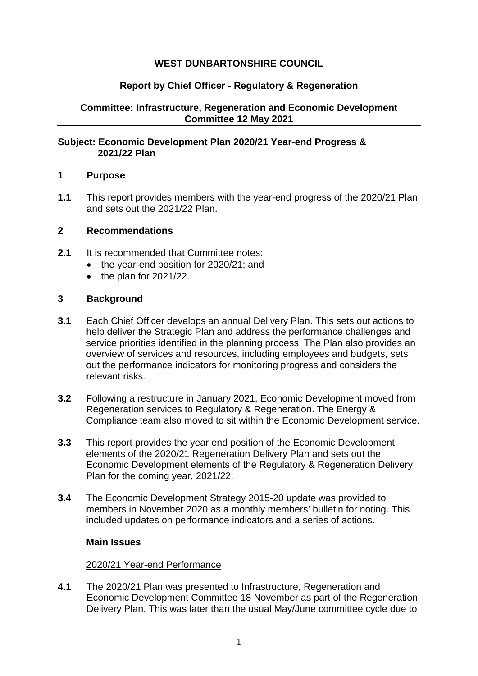# **WEST DUNBARTONSHIRE COUNCIL**

# **Report by Chief Officer - Regulatory & Regeneration**

# **Committee: Infrastructure, Regeneration and Economic Development Committee 12 May 2021**

## **Subject: Economic Development Plan 2020/21 Year-end Progress & 2021/22 Plan**

### **1 Purpose**

**1.1** This report provides members with the year-end progress of the 2020/21 Plan and sets out the 2021/22 Plan.

### **2 Recommendations**

- **2.1** It is recommended that Committee notes:
	- the year-end position for 2020/21; and
	- $\bullet$  the plan for 2021/22.

### **3 Background**

- **3.1** Each Chief Officer develops an annual Delivery Plan. This sets out actions to help deliver the Strategic Plan and address the performance challenges and service priorities identified in the planning process. The Plan also provides an overview of services and resources, including employees and budgets, sets out the performance indicators for monitoring progress and considers the relevant risks.
- **3.2** Following a restructure in January 2021, Economic Development moved from Regeneration services to Regulatory & Regeneration. The Energy & Compliance team also moved to sit within the Economic Development service.
- **3.3** This report provides the year end position of the Economic Development elements of the 2020/21 Regeneration Delivery Plan and sets out the Economic Development elements of the Regulatory & Regeneration Delivery Plan for the coming year, 2021/22.
- **3.4** The Economic Development Strategy 2015-20 update was provided to members in November 2020 as a monthly members' bulletin for noting. This included updates on performance indicators and a series of actions.

## **Main Issues**

#### 2020/21 Year-end Performance

**4.1** The 2020/21 Plan was presented to Infrastructure, Regeneration and Economic Development Committee 18 November as part of the Regeneration Delivery Plan. This was later than the usual May/June committee cycle due to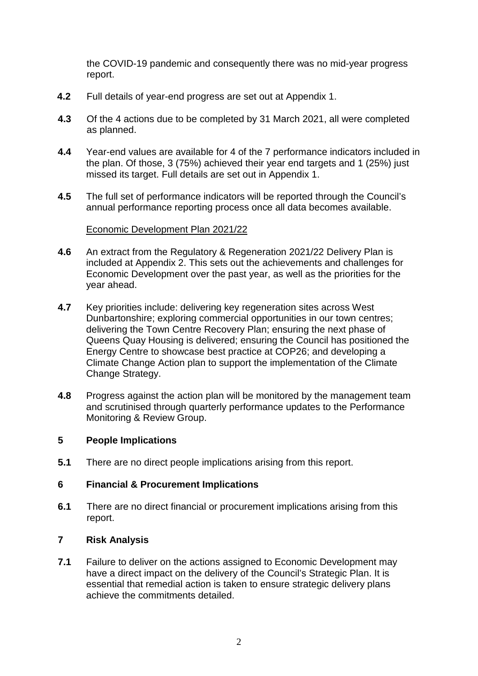the COVID-19 pandemic and consequently there was no mid-year progress report.

- **4.2** Full details of year-end progress are set out at Appendix 1.
- **4.3** Of the 4 actions due to be completed by 31 March 2021, all were completed as planned.
- **4.4** Year-end values are available for 4 of the 7 performance indicators included in the plan. Of those, 3 (75%) achieved their year end targets and 1 (25%) just missed its target. Full details are set out in Appendix 1.
- **4.5** The full set of performance indicators will be reported through the Council's annual performance reporting process once all data becomes available.

## Economic Development Plan 2021/22

- **4.6** An extract from the Regulatory & Regeneration 2021/22 Delivery Plan is included at Appendix 2. This sets out the achievements and challenges for Economic Development over the past year, as well as the priorities for the year ahead.
- **4.7** Key priorities include: delivering key regeneration sites across West Dunbartonshire; exploring commercial opportunities in our town centres; delivering the Town Centre Recovery Plan; ensuring the next phase of Queens Quay Housing is delivered; ensuring the Council has positioned the Energy Centre to showcase best practice at COP26; and developing a Climate Change Action plan to support the implementation of the Climate Change Strategy.
- **4.8** Progress against the action plan will be monitored by the management team and scrutinised through quarterly performance updates to the Performance Monitoring & Review Group.

# **5 People Implications**

**5.1** There are no direct people implications arising from this report.

## **6 Financial & Procurement Implications**

**6.1** There are no direct financial or procurement implications arising from this report.

## **7 Risk Analysis**

**7.1** Failure to deliver on the actions assigned to Economic Development may have a direct impact on the delivery of the Council's Strategic Plan. It is essential that remedial action is taken to ensure strategic delivery plans achieve the commitments detailed.